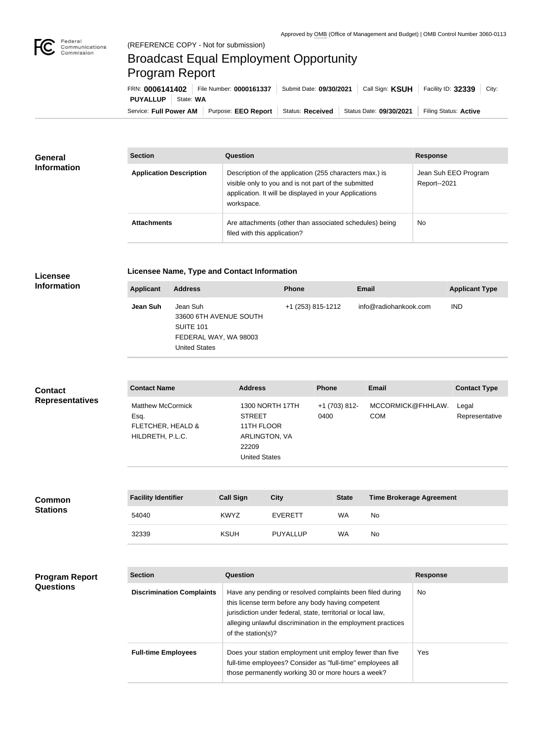$\overline{\phantom{a}}$ 

## Broadcast Equal Employment Opportunity Program Report

Service: Full Power AM | Purpose: EEO Report | Status: Received | Status Date: 09/30/2021 | Filing Status: Active **PUYALLUP** State: WA FRN: **0006141402** File Number: **0000161337** Submit Date: **09/30/2021** Call Sign: **KSUH** Facility ID: **32339** City:

| General<br><b>Information</b> | <b>Section</b>                 | <b>Question</b>                                                                                                                                                                         | <b>Response</b>                      |  |
|-------------------------------|--------------------------------|-----------------------------------------------------------------------------------------------------------------------------------------------------------------------------------------|--------------------------------------|--|
|                               | <b>Application Description</b> | Description of the application (255 characters max.) is<br>visible only to you and is not part of the submitted<br>application. It will be displayed in your Applications<br>workspace. | Jean Suh EEO Program<br>Report--2021 |  |
|                               | <b>Attachments</b>             | Are attachments (other than associated schedules) being<br>filed with this application?                                                                                                 | No                                   |  |

## **Licensee Information**

## **Licensee Name, Type and Contact Information**

| <b>Applicant</b> | <b>Address</b>                                                                                          | <b>Phone</b>      | <b>Email</b>          | <b>Applicant Type</b> |
|------------------|---------------------------------------------------------------------------------------------------------|-------------------|-----------------------|-----------------------|
| Jean Suh         | Jean Suh<br>33600 6TH AVENUE SOUTH<br><b>SUITE 101</b><br>FEDERAL WAY, WA 98003<br><b>United States</b> | +1 (253) 815-1212 | info@radiohankook.com | <b>IND</b>            |

| <b>Contact</b><br><b>Representatives</b> | <b>Contact Name</b>                                                       | <b>Address</b>                                                                                          | <b>Phone</b>          | <b>Email</b>                    | <b>Contact Type</b>     |
|------------------------------------------|---------------------------------------------------------------------------|---------------------------------------------------------------------------------------------------------|-----------------------|---------------------------------|-------------------------|
|                                          | <b>Matthew McCormick</b><br>Esq.<br>FLETCHER, HEALD &<br>HILDRETH, P.L.C. | <b>1300 NORTH 17TH</b><br><b>STREET</b><br>11TH FLOOR<br>ARLINGTON, VA<br>22209<br><b>United States</b> | +1 (703) 812-<br>0400 | MCCORMICK@FHHLAW.<br><b>COM</b> | Legal<br>Representative |
|                                          |                                                                           |                                                                                                         |                       |                                 |                         |

| <b>Common</b><br><b>Stations</b> | <b>Facility Identifier</b> | <b>Call Sign</b> | <b>City</b>     | <b>State</b> | <b>Time Brokerage Agreement</b> |
|----------------------------------|----------------------------|------------------|-----------------|--------------|---------------------------------|
|                                  | 54040                      | <b>KWYZ</b>      | <b>EVERETT</b>  | <b>WA</b>    | No                              |
|                                  | 32339                      | <b>KSUH</b>      | <b>PUYALLUP</b> | <b>WA</b>    | No                              |

| <b>Program Report</b><br><b>Questions</b> | <b>Section</b>                   | Question                                                                                                                                                                                                                                                              | <b>Response</b> |
|-------------------------------------------|----------------------------------|-----------------------------------------------------------------------------------------------------------------------------------------------------------------------------------------------------------------------------------------------------------------------|-----------------|
|                                           | <b>Discrimination Complaints</b> | Have any pending or resolved complaints been filed during<br>this license term before any body having competent<br>jurisdiction under federal, state, territorial or local law,<br>alleging unlawful discrimination in the employment practices<br>of the station(s)? | No.             |
|                                           | <b>Full-time Employees</b>       | Does your station employment unit employ fewer than five<br>full-time employees? Consider as "full-time" employees all<br>those permanently working 30 or more hours a week?                                                                                          | Yes             |